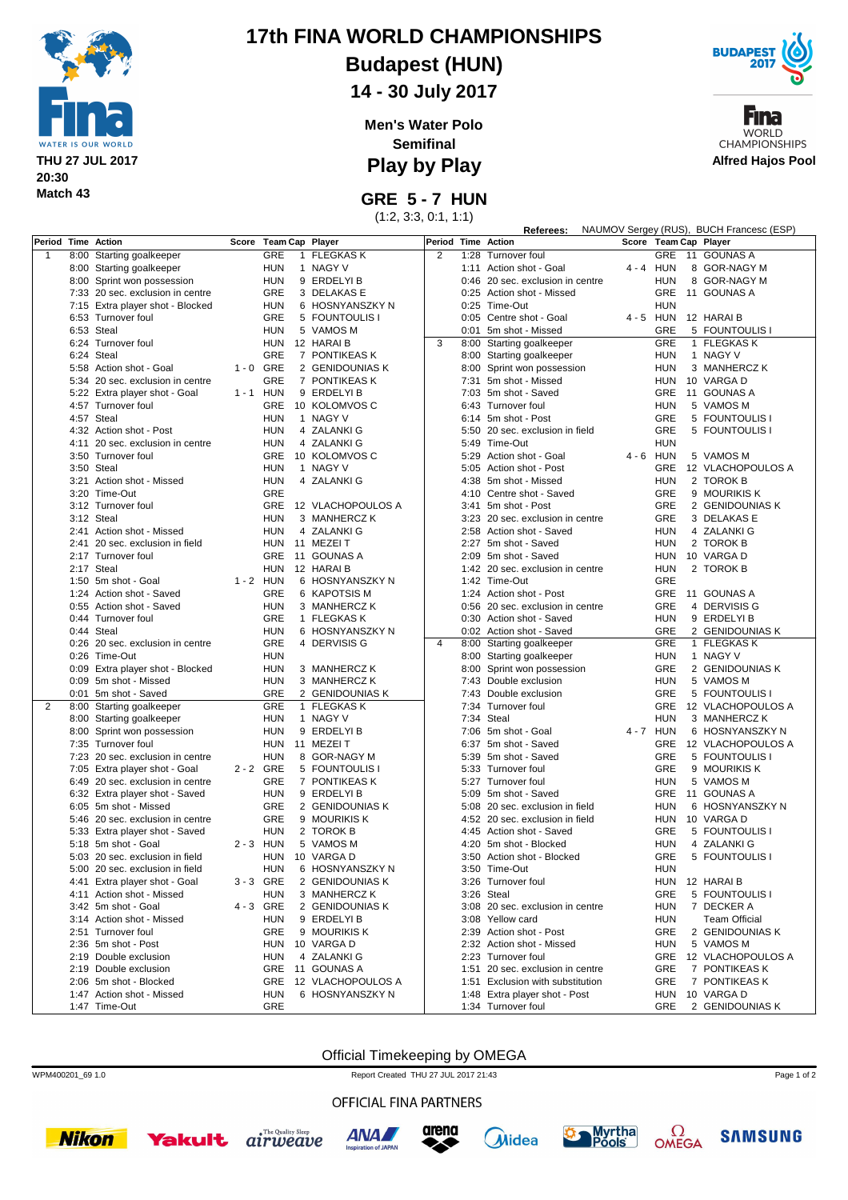

# **17th FINA WORLD CHAMPIONSHIPS**

**Budapest (HUN)**

**14 - 30 July 2017**

**Men's Water Polo Semifinal**

**Play by Play**

**GRE 5 - 7 HUN**

(1:2, 3:3, 0:1, 1:1)

|                | NAUMOV Sergey (RUS), BUCH Francesc (ESP)<br>Referees: |                                  |             |                       |  |                   |                    |            |                                  |             |            |  |                       |
|----------------|-------------------------------------------------------|----------------------------------|-------------|-----------------------|--|-------------------|--------------------|------------|----------------------------------|-------------|------------|--|-----------------------|
|                |                                                       | Period Time Action               |             | Score Team Cap Player |  |                   | Period Time Action |            |                                  |             |            |  | Score Team Cap Player |
| 1              |                                                       | 8:00 Starting goalkeeper         |             | GRE                   |  | 1 FLEGKAS K       | $\overline{2}$     |            | 1:28 Turnover foul               |             |            |  | GRE 11 GOUNAS A       |
|                |                                                       | 8:00 Starting goalkeeper         |             | <b>HUN</b>            |  | 1 NAGY V          |                    |            | 1:11 Action shot - Goal          | $4 - 4$     | <b>HUN</b> |  | 8 GOR-NAGY M          |
|                |                                                       | 8:00 Sprint won possession       |             | <b>HUN</b>            |  | 9 ERDELYI B       |                    |            | 0:46 20 sec. exclusion in centre |             | <b>HUN</b> |  | 8 GOR-NAGY M          |
|                |                                                       |                                  |             |                       |  |                   |                    |            |                                  |             |            |  |                       |
|                |                                                       | 7:33 20 sec. exclusion in centre |             | GRE                   |  | 3 DELAKAS E       |                    |            | 0:25 Action shot - Missed        |             | <b>GRE</b> |  | 11 GOUNAS A           |
|                |                                                       | 7:15 Extra player shot - Blocked |             | <b>HUN</b>            |  | 6 HOSNYANSZKY N   |                    |            | 0:25 Time-Out                    |             | <b>HUN</b> |  |                       |
|                |                                                       | 6:53 Turnover foul               |             | GRE                   |  | 5 FOUNTOULIS I    |                    |            | 0:05 Centre shot - Goal          |             | 4 - 5 HUN  |  | 12 HARAI B            |
|                |                                                       | 6:53 Steal                       |             | <b>HUN</b>            |  | 5 VAMOS M         |                    |            | 0:01 5m shot - Missed            |             | <b>GRE</b> |  | 5 FOUNTOULIS I        |
|                |                                                       | 6:24 Turnover foul               |             | <b>HUN</b>            |  | 12 HARAI B        | 3                  |            | 8:00 Starting goalkeeper         |             | <b>GRE</b> |  | 1 FLEGKAS K           |
|                |                                                       | 6:24 Steal                       |             | <b>GRE</b>            |  | 7 PONTIKEAS K     |                    |            | 8:00 Starting goalkeeper         |             | <b>HUN</b> |  | 1 NAGY V              |
|                |                                                       | 5:58 Action shot - Goal          | $1 - 0$ GRE |                       |  | 2 GENIDOUNIAS K   |                    |            | 8:00 Sprint won possession       |             | <b>HUN</b> |  | 3 MANHERCZ K          |
|                |                                                       |                                  |             |                       |  |                   |                    |            |                                  |             |            |  |                       |
|                |                                                       | 5:34 20 sec. exclusion in centre |             | GRE                   |  | 7 PONTIKEAS K     |                    |            | 7:31 5m shot - Missed            |             | <b>HUN</b> |  | 10 VARGA D            |
|                |                                                       | 5:22 Extra player shot - Goal    | 1 - 1 HUN   |                       |  | 9 ERDELYI B       |                    |            | 7:03 5m shot - Saved             |             | <b>GRE</b> |  | 11 GOUNAS A           |
|                |                                                       | 4:57 Turnover foul               |             | GRE                   |  | 10 KOLOMVOS C     |                    |            | 6:43 Turnover foul               |             | HUN        |  | 5 VAMOS M             |
|                |                                                       | 4:57 Steal                       |             | <b>HUN</b>            |  | 1 NAGY V          |                    |            | 6:14 5m shot - Post              |             | <b>GRE</b> |  | 5 FOUNTOULIS I        |
|                |                                                       | 4:32 Action shot - Post          |             | <b>HUN</b>            |  | 4 ZALANKI G       |                    | 5:50       | 20 sec. exclusion in field       |             | <b>GRE</b> |  | 5 FOUNTOULIS I        |
|                |                                                       | 4:11 20 sec. exclusion in centre |             | <b>HUN</b>            |  | 4 ZALANKI G       |                    |            | 5:49 Time-Out                    |             | <b>HUN</b> |  |                       |
|                |                                                       | 3:50 Turnover foul               |             | <b>GRE</b>            |  | 10 KOLOMVOS C     |                    |            | 5:29 Action shot - Goal          | $4 - 6$ HUN |            |  | 5 VAMOS M             |
|                |                                                       |                                  |             |                       |  |                   |                    |            |                                  |             |            |  |                       |
|                |                                                       | 3:50 Steal                       |             | <b>HUN</b>            |  | 1 NAGY V          |                    |            | 5:05 Action shot - Post          |             | <b>GRE</b> |  | 12 VLACHOPOULOS A     |
|                |                                                       | 3:21 Action shot - Missed        |             | <b>HUN</b>            |  | 4 ZALANKI G       |                    | 4:38       | 5m shot - Missed                 |             | <b>HUN</b> |  | 2 TOROK B             |
|                |                                                       | 3:20 Time-Out                    |             | GRE                   |  |                   |                    |            | 4:10 Centre shot - Saved         |             | <b>GRE</b> |  | 9 MOURIKIS K          |
|                |                                                       | 3:12 Turnover foul               |             | GRE                   |  | 12 VLACHOPOULOS A |                    |            | 3:41 5m shot - Post              |             | <b>GRE</b> |  | 2 GENIDOUNIAS K       |
|                |                                                       | 3:12 Steal                       |             | <b>HUN</b>            |  | 3 MANHERCZ K      |                    |            | 3:23 20 sec. exclusion in centre |             | <b>GRE</b> |  | 3 DELAKAS E           |
|                |                                                       | 2:41 Action shot - Missed        |             | <b>HUN</b>            |  | 4 ZALANKI G       |                    |            | 2:58 Action shot - Saved         |             | <b>HUN</b> |  | 4 ZALANKI G           |
|                |                                                       |                                  |             |                       |  |                   |                    |            |                                  |             |            |  |                       |
|                |                                                       | 2:41 20 sec. exclusion in field  |             | HUN                   |  | 11 MEZELT         |                    |            | 2:27 5m shot - Saved             |             | <b>HUN</b> |  | 2 TOROK B             |
|                |                                                       | 2:17 Turnover foul               |             | GRE                   |  | 11 GOUNAS A       |                    |            | 2:09 5m shot - Saved             |             | HUN        |  | 10 VARGA D            |
|                |                                                       | 2:17 Steal                       |             | <b>HUN</b>            |  | 12 HARAI B        |                    |            | 1:42 20 sec. exclusion in centre |             | <b>HUN</b> |  | 2 TOROK B             |
|                |                                                       | 1:50 5m shot - Goal              | $1 - 2$ HUN |                       |  | 6 HOSNYANSZKY N   |                    |            | 1:42 Time-Out                    |             | <b>GRE</b> |  |                       |
|                |                                                       | 1:24 Action shot - Saved         |             | GRE                   |  | 6 KAPOTSIS M      |                    |            | 1:24 Action shot - Post          |             | <b>GRE</b> |  | 11 GOUNAS A           |
|                |                                                       | 0:55 Action shot - Saved         |             | <b>HUN</b>            |  | 3 MANHERCZ K      |                    |            | 0:56 20 sec. exclusion in centre |             | <b>GRE</b> |  | 4 DERVISIS G          |
|                |                                                       | 0:44 Turnover foul               |             | <b>GRE</b>            |  | 1 FLEGKAS K       |                    |            | 0:30 Action shot - Saved         |             | <b>HUN</b> |  | 9 ERDELYIB            |
|                |                                                       |                                  |             |                       |  |                   |                    |            |                                  |             |            |  |                       |
|                |                                                       | 0:44 Steal                       |             | <b>HUN</b>            |  | 6 HOSNYANSZKY N   |                    |            | 0:02 Action shot - Saved         |             | <b>GRE</b> |  | 2 GENIDOUNIAS K       |
|                |                                                       | 0:26 20 sec. exclusion in centre |             | GRE                   |  | 4 DERVISIS G      | $\overline{4}$     |            | 8:00 Starting goalkeeper         |             | <b>GRE</b> |  | 1 FLEGKAS K           |
|                |                                                       | 0:26 Time-Out                    |             | <b>HUN</b>            |  |                   |                    |            | 8:00 Starting goalkeeper         |             | <b>HUN</b> |  | 1 NAGY V              |
|                |                                                       | 0:09 Extra player shot - Blocked |             | <b>HUN</b>            |  | 3 MANHERCZ K      |                    | 8:00       | Sprint won possession            |             | <b>GRE</b> |  | 2 GENIDOUNIAS K       |
|                |                                                       | 0:09 5m shot - Missed            |             | <b>HUN</b>            |  | 3 MANHERCZ K      |                    |            | 7:43 Double exclusion            |             | <b>HUN</b> |  | 5 VAMOS M             |
|                |                                                       | 0:01 5m shot - Saved             |             | <b>GRE</b>            |  | 2 GENIDOUNIAS K   |                    |            | 7:43 Double exclusion            |             | GRE        |  | 5 FOUNTOULIS I        |
| $\overline{2}$ | 8:00                                                  | Starting goalkeeper              |             | <b>GRE</b>            |  | 1 FLEGKAS K       |                    |            | 7:34 Turnover foul               |             | GRE        |  | 12 VLACHOPOULOS A     |
|                |                                                       |                                  |             | <b>HUN</b>            |  | 1 NAGY V          |                    | 7:34 Steal |                                  |             | <b>HUN</b> |  | 3 MANHERCZ K          |
|                |                                                       | 8:00 Starting goalkeeper         |             |                       |  |                   |                    |            |                                  |             |            |  |                       |
|                |                                                       | 8:00 Sprint won possession       |             | <b>HUN</b>            |  | 9 ERDELYI B       |                    |            | 7:06 5m shot - Goal              | 4 - 7 HUN   |            |  | 6 HOSNYANSZKY N       |
|                |                                                       | 7:35 Turnover foul               |             | <b>HUN</b>            |  | 11 MEZEIT         |                    |            | 6:37 5m shot - Saved             |             | <b>GRE</b> |  | 12 VLACHOPOULOS A     |
|                |                                                       | 7:23 20 sec. exclusion in centre |             | <b>HUN</b>            |  | 8 GOR-NAGY M      |                    |            | 5:39 5m shot - Saved             |             | <b>GRE</b> |  | 5 FOUNTOULIS I        |
|                |                                                       | 7:05 Extra player shot - Goal    | 2 - 2 GRE   |                       |  | 5 FOUNTOULIS I    |                    |            | 5:33 Turnover foul               |             | <b>GRE</b> |  | 9 MOURIKIS K          |
|                |                                                       | 6:49 20 sec. exclusion in centre |             | GRE                   |  | 7 PONTIKEAS K     |                    |            | 5:27 Turnover foul               |             | HUN        |  | 5 VAMOS M             |
|                |                                                       | 6:32 Extra player shot - Saved   |             | <b>HUN</b>            |  | 9 ERDELYI B       |                    |            | 5:09 5m shot - Saved             |             | <b>GRE</b> |  | 11 GOUNAS A           |
|                |                                                       | 6:05 5m shot - Missed            |             | <b>GRE</b>            |  | 2 GENIDOUNIAS K   |                    |            | 5:08 20 sec. exclusion in field  |             | HUN        |  | 6 HOSNYANSZKY N       |
|                |                                                       |                                  |             |                       |  |                   |                    |            |                                  |             |            |  |                       |
|                |                                                       | 5:46 20 sec. exclusion in centre |             | <b>GRE</b>            |  | 9 MOURIKIS K      |                    |            | 4:52 20 sec. exclusion in field  |             | <b>HUN</b> |  | 10 VARGA D            |
|                |                                                       | 5:33 Extra player shot - Saved   |             | <b>HUN</b>            |  | 2 TOROK B         |                    |            | 4:45 Action shot - Saved         |             | <b>GRE</b> |  | 5 FOUNTOULIS I        |
|                |                                                       | 5:18 5m shot - Goal              | 2 - 3 HUN   |                       |  | 5 VAMOS M         |                    |            | 4:20 5m shot - Blocked           |             | HUN        |  | 4 ZALANKI G           |
|                |                                                       | 5:03 20 sec. exclusion in field  |             | <b>HUN</b>            |  | 10 VARGA D        |                    |            | 3:50 Action shot - Blocked       |             | <b>GRE</b> |  | 5 FOUNTOULIS I        |
|                |                                                       | 5:00 20 sec. exclusion in field  |             | HUN                   |  | 6 HOSNYANSZKY N   |                    |            | 3:50 Time-Out                    |             | HUN        |  |                       |
|                |                                                       | 4:41 Extra player shot - Goal    | 3-3 GRE     |                       |  | 2 GENIDOUNIAS K   |                    |            | 3:26 Turnover foul               |             |            |  | HUN 12 HARAI B        |
|                |                                                       |                                  |             |                       |  |                   |                    |            | 3:26 Steal                       |             |            |  |                       |
|                |                                                       | 4:11 Action shot - Missed        |             | <b>HUN</b>            |  | 3 MANHERCZ K      |                    |            |                                  |             | <b>GRE</b> |  | 5 FOUNTOULIS I        |
|                |                                                       | 3:42 5m shot - Goal              | 4-3 GRE     |                       |  | 2 GENIDOUNIAS K   |                    |            | 3:08 20 sec. exclusion in centre |             | <b>HUN</b> |  | 7 DECKER A            |
|                |                                                       | 3:14 Action shot - Missed        |             | HUN                   |  | 9 ERDELYI B       |                    |            | 3:08 Yellow card                 |             | <b>HUN</b> |  | Team Official         |
|                |                                                       | 2:51 Turnover foul               |             | GRE                   |  | 9 MOURIKIS K      |                    |            | 2:39 Action shot - Post          |             | <b>GRE</b> |  | 2 GENIDOUNIAS K       |
|                |                                                       | 2:36 5m shot - Post              |             | HUN                   |  | 10 VARGA D        |                    |            | 2:32 Action shot - Missed        |             | <b>HUN</b> |  | 5 VAMOS M             |
|                |                                                       | 2:19 Double exclusion            |             | HUN                   |  | 4 ZALANKI G       |                    |            | 2:23 Turnover foul               |             |            |  | GRE 12 VLACHOPOULOS A |
|                |                                                       | 2:19 Double exclusion            |             | GRE                   |  | 11 GOUNAS A       |                    |            | 1:51 20 sec. exclusion in centre |             | GRE        |  | 7 PONTIKEAS K         |
|                |                                                       |                                  |             |                       |  |                   |                    |            |                                  |             |            |  |                       |
|                |                                                       | 2:06 5m shot - Blocked           |             | GRE                   |  | 12 VLACHOPOULOS A |                    |            | 1:51 Exclusion with substitution |             | GRE        |  | 7 PONTIKEAS K         |
|                |                                                       | 1:47 Action shot - Missed        |             | <b>HUN</b>            |  | 6 HOSNYANSZKY N   |                    |            | 1:48 Extra player shot - Post    |             | HUN        |  | 10 VARGA D            |
|                |                                                       | 1:47 Time-Out                    |             | GRE                   |  |                   |                    |            | 1:34 Turnover foul               |             | GRE        |  | 2 GENIDOUNIAS K       |

### Official Timekeeping by OMEGA

WPM400201 69 1.0 Report Created THU 27 JUL 2017 21:43





Fına **WORLD CHAMPIONSHIPS Alfred Hajos Pool**

Page 1 of 2

### **Nikon**